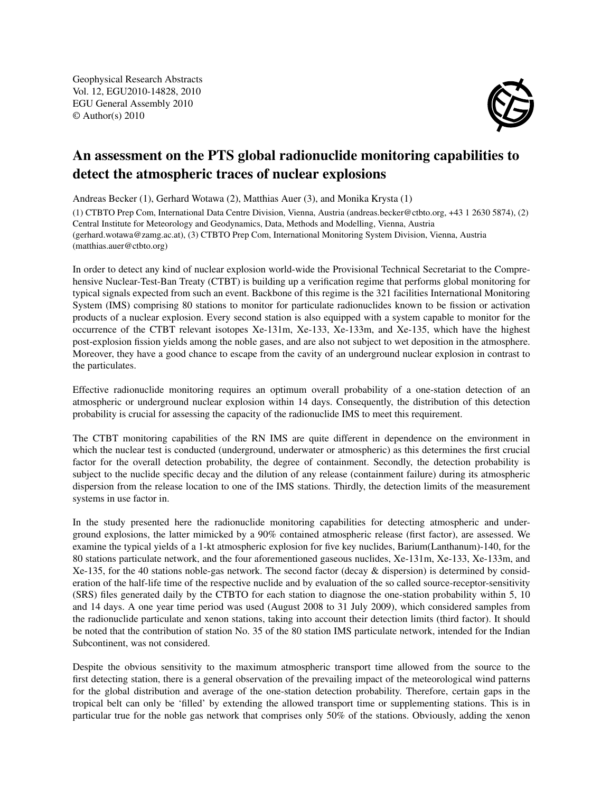Geophysical Research Abstracts Vol. 12, EGU2010-14828, 2010 EGU General Assembly 2010 © Author(s) 2010



## An assessment on the PTS global radionuclide monitoring capabilities to detect the atmospheric traces of nuclear explosions

Andreas Becker (1), Gerhard Wotawa (2), Matthias Auer (3), and Monika Krysta (1)

(1) CTBTO Prep Com, International Data Centre Division, Vienna, Austria (andreas.becker@ctbto.org, +43 1 2630 5874), (2) Central Institute for Meteorology and Geodynamics, Data, Methods and Modelling, Vienna, Austria (gerhard.wotawa@zamg.ac.at), (3) CTBTO Prep Com, International Monitoring System Division, Vienna, Austria (matthias.auer@ctbto.org)

In order to detect any kind of nuclear explosion world-wide the Provisional Technical Secretariat to the Comprehensive Nuclear-Test-Ban Treaty (CTBT) is building up a verification regime that performs global monitoring for typical signals expected from such an event. Backbone of this regime is the 321 facilities International Monitoring System (IMS) comprising 80 stations to monitor for particulate radionuclides known to be fission or activation products of a nuclear explosion. Every second station is also equipped with a system capable to monitor for the occurrence of the CTBT relevant isotopes Xe-131m, Xe-133, Xe-133m, and Xe-135, which have the highest post-explosion fission yields among the noble gases, and are also not subject to wet deposition in the atmosphere. Moreover, they have a good chance to escape from the cavity of an underground nuclear explosion in contrast to the particulates.

Effective radionuclide monitoring requires an optimum overall probability of a one-station detection of an atmospheric or underground nuclear explosion within 14 days. Consequently, the distribution of this detection probability is crucial for assessing the capacity of the radionuclide IMS to meet this requirement.

The CTBT monitoring capabilities of the RN IMS are quite different in dependence on the environment in which the nuclear test is conducted (underground, underwater or atmospheric) as this determines the first crucial factor for the overall detection probability, the degree of containment. Secondly, the detection probability is subject to the nuclide specific decay and the dilution of any release (containment failure) during its atmospheric dispersion from the release location to one of the IMS stations. Thirdly, the detection limits of the measurement systems in use factor in.

In the study presented here the radionuclide monitoring capabilities for detecting atmospheric and underground explosions, the latter mimicked by a 90% contained atmospheric release (first factor), are assessed. We examine the typical yields of a 1-kt atmospheric explosion for five key nuclides, Barium(Lanthanum)-140, for the 80 stations particulate network, and the four aforementioned gaseous nuclides, Xe-131m, Xe-133, Xe-133m, and Xe-135, for the 40 stations noble-gas network. The second factor (decay & dispersion) is determined by consideration of the half-life time of the respective nuclide and by evaluation of the so called source-receptor-sensitivity (SRS) files generated daily by the CTBTO for each station to diagnose the one-station probability within 5, 10 and 14 days. A one year time period was used (August 2008 to 31 July 2009), which considered samples from the radionuclide particulate and xenon stations, taking into account their detection limits (third factor). It should be noted that the contribution of station No. 35 of the 80 station IMS particulate network, intended for the Indian Subcontinent, was not considered.

Despite the obvious sensitivity to the maximum atmospheric transport time allowed from the source to the first detecting station, there is a general observation of the prevailing impact of the meteorological wind patterns for the global distribution and average of the one-station detection probability. Therefore, certain gaps in the tropical belt can only be 'filled' by extending the allowed transport time or supplementing stations. This is in particular true for the noble gas network that comprises only 50% of the stations. Obviously, adding the xenon